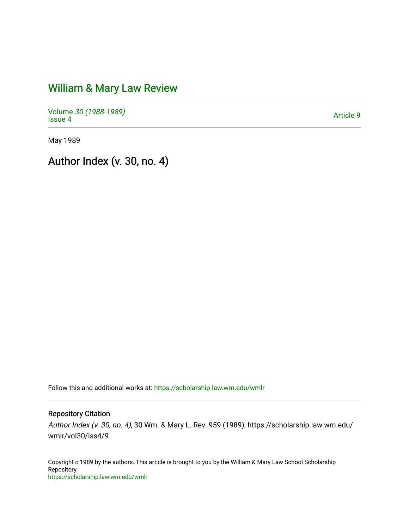## [William & Mary Law Review](https://scholarship.law.wm.edu/wmlr)

Volume [30 \(1988-1989\)](https://scholarship.law.wm.edu/wmlr/vol30)  volume 50 (*1966-1969)*<br>[Issue 4](https://scholarship.law.wm.edu/wmlr/vol30/iss4) Article 9

May 1989

Author Index (v. 30, no. 4)

Follow this and additional works at: [https://scholarship.law.wm.edu/wmlr](https://scholarship.law.wm.edu/wmlr?utm_source=scholarship.law.wm.edu%2Fwmlr%2Fvol30%2Fiss4%2F9&utm_medium=PDF&utm_campaign=PDFCoverPages)

## Repository Citation

Author Index (v. 30, no. 4), 30 Wm. & Mary L. Rev. 959 (1989), https://scholarship.law.wm.edu/ wmlr/vol30/iss4/9

Copyright c 1989 by the authors. This article is brought to you by the William & Mary Law School Scholarship Repository. <https://scholarship.law.wm.edu/wmlr>